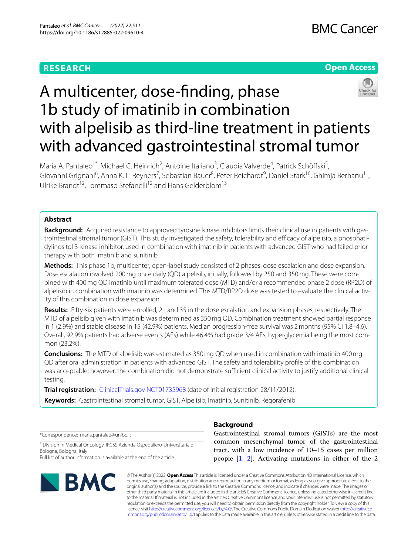## **RESEARCH**

## **Open Access**



# A multicenter, dose-fnding, phase 1b study of imatinib in combination with alpelisib as third-line treatment in patients with advanced gastrointestinal stromal tumor

Maria A. Pantaleo<sup>1\*</sup>, Michael C. Heinrich<sup>2</sup>, Antoine Italiano<sup>3</sup>, Claudia Valverde<sup>4</sup>, Patrick Schöffski<sup>5</sup>, Giovanni Grignani<sup>6</sup>, Anna K. L. Reyners<sup>7</sup>, Sebastian Bauer<sup>8</sup>, Peter Reichardt<sup>9</sup>, Daniel Stark<sup>10</sup>, Ghimja Berhanu<sup>11</sup>, Ulrike Brandt<sup>12</sup>, Tommaso Stefanelli<sup>12</sup> and Hans Gelderblom<sup>13</sup>

## **Abstract**

**Background:** Acquired resistance to approved tyrosine kinase inhibitors limits their clinical use in patients with gastrointestinal stromal tumor (GIST). This study investigated the safety, tolerability and efficacy of alpelisib, a phosphatidylinositol 3-kinase inhibitor, used in combination with imatinib in patients with advanced GIST who had failed prior therapy with both imatinib and sunitinib.

**Methods:** This phase 1b, multicenter, open-label study consisted of 2 phases: dose escalation and dose expansion. Dose escalation involved 200mg once daily (QD) alpelisib, initially, followed by 250 and 350mg. These were combined with 400mg QD imatinib until maximum tolerated dose (MTD) and/or a recommended phase 2 dose (RP2D) of alpelisib in combination with imatinib was determined. This MTD/RP2D dose was tested to evaluate the clinical activity of this combination in dose expansion.

**Results:** Fifty-six patients were enrolled, 21 and 35 in the dose escalation and expansion phases, respectively. The MTD of alpelisib given with imatinib was determined as 350mg QD. Combination treatment showed partial response in 1 (2.9%) and stable disease in 15 (42.9%) patients. Median progression-free survival was 2months (95% CI 1.8–4.6). Overall, 92.9% patients had adverse events (AEs) while 46.4% had grade 3/4 AEs, hyperglycemia being the most common (23.2%).

**Conclusions:** The MTD of alpelisib was estimated as 350mg QD when used in combination with imatinib 400mg QD after oral administration in patients with advanced GIST. The safety and tolerability profle of this combination was acceptable; however, the combination did not demonstrate sufficient clinical activity to justify additional clinical testing.

**Trial registration:** [ClinicalTrials.gov](http://clinicaltrials.gov) [NCT01735968](https://clinicaltrials.gov/ct2/show/NCT01735968?term=NCT01735968&draw=2&rank=1) (date of initial registration 28/11/2012).

**Keywords:** Gastrointestinal stromal tumor, GIST, Alpelisib, Imatinib, Sunitinib, Regorafenib

\*Correspondence: maria.pantaleo@unibo.it

<sup>1</sup> Division in Medical Oncology, IRCSS Azienda Ospedaliero-Universitaria di Bologna, Bologna, Italy

Full list of author information is available at the end of the article



## **Background**

Gastrointestinal stromal tumors (GISTs) are the most common mesenchymal tumor of the gastrointestinal tract, with a low incidence of 10–15 cases per million people [\[1](#page-7-0), [2](#page-7-1)]. Activating mutations in either of the 2

© The Author(s) 2022. **Open Access** This article is licensed under a Creative Commons Attribution 4.0 International License, which permits use, sharing, adaptation, distribution and reproduction in any medium or format, as long as you give appropriate credit to the original author(s) and the source, provide a link to the Creative Commons licence, and indicate if changes were made. The images or other third party material in this article are included in the article's Creative Commons licence, unless indicated otherwise in a credit line to the material. If material is not included in the article's Creative Commons licence and your intended use is not permitted by statutory regulation or exceeds the permitted use, you will need to obtain permission directly from the copyright holder. To view a copy of this licence, visit [http://creativecommons.org/licenses/by/4.0/.](http://creativecommons.org/licenses/by/4.0/) The Creative Commons Public Domain Dedication waiver ([http://creativeco](http://creativecommons.org/publicdomain/zero/1.0/) [mmons.org/publicdomain/zero/1.0/](http://creativecommons.org/publicdomain/zero/1.0/)) applies to the data made available in this article, unless otherwise stated in a credit line to the data.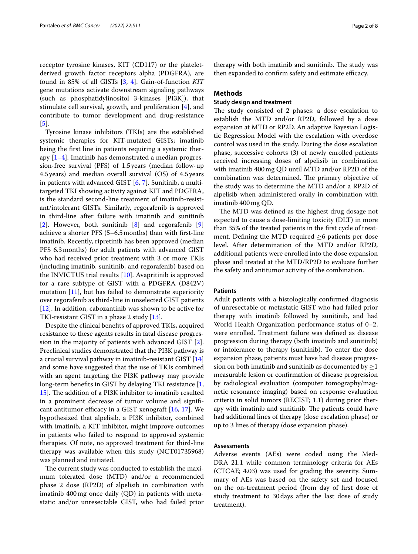receptor tyrosine kinases, KIT (CD117) or the plateletderived growth factor receptors alpha (PDGFRA), are found in 85% of all GISTs [\[3,](#page-7-2) [4](#page-7-3)]. Gain-of-function *KIT* gene mutations activate downstream signaling pathways (such as phosphatidylinositol 3-kinases [PI3K]), that stimulate cell survival, growth, and proliferation [\[4\]](#page-7-3), and contribute to tumor development and drug-resistance [[5\]](#page-7-4).

Tyrosine kinase inhibitors (TKIs) are the established systemic therapies for KIT-mutated GISTs; imatinib being the frst line in patients requiring a systemic therapy  $[1-4]$  $[1-4]$ . Imatinib has demonstrated a median progression-free survival (PFS) of 1.5years (median follow-up 4.5years) and median overall survival (OS) of 4.5years in patients with advanced GIST [[6,](#page-7-5) [7](#page-7-6)]. Sunitinib, a multitargeted TKI showing activity against KIT and PDGFRA, is the standard second-line treatment of imatinib-resistant/intolerant GISTs. Similarly, regorafenib is approved in third-line after failure with imatinib and sunitinib [[2\]](#page-7-1). However, both sunitinib  $[8]$  $[8]$  and regorafenib  $[9]$  $[9]$ achieve a shorter PFS (5–6.5months) than with frst-line imatinib. Recently, ripretinib has been approved (median PFS 6.3months) for adult patients with advanced GIST who had received prior treatment with 3 or more TKIs (including imatinib, sunitinib, and regorafenib) based on the INVICTUS trial results [[10](#page-7-9)]. Avapritinib is approved for a rare subtype of GIST with a PDGFRA (D842V) mutation [[11\]](#page-7-10), but has failed to demonstrate superiority over regorafenib as third-line in unselected GIST patients [[12\]](#page-7-11). In addition, cabozantinib was shown to be active for TKI-resistant GIST in a phase 2 study [\[13](#page-7-12)].

Despite the clinical benefts of approved TKIs, acquired resistance to these agents results in fatal disease progression in the majority of patients with advanced GIST [\[2](#page-7-1)]. Preclinical studies demonstrated that the PI3K pathway is a crucial survival pathway in imatinib-resistant GIST [[14](#page-7-13)] and some have suggested that the use of TKIs combined with an agent targeting the PI3K pathway may provide long-term benefts in GIST by delaying TKI resistance [\[1](#page-7-0), [15\]](#page-7-14). The addition of a PI3K inhibitor to imatinib resulted in a prominent decrease of tumor volume and signifcant antitumor efficacy in a GIST xenograft  $[16, 17]$  $[16, 17]$  $[16, 17]$  $[16, 17]$  $[16, 17]$ . We hypothesized that alpelisib, a PI3K inhibitor, combined with imatinib, a KIT inhibitor, might improve outcomes in patients who failed to respond to approved systemic therapies. Of note, no approved treatment for third-line therapy was available when this study (NCT01735968) was planned and initiated.

The current study was conducted to establish the maximum tolerated dose (MTD) and/or a recommended phase 2 dose (RP2D) of alpelisib in combination with imatinib 400mg once daily (QD) in patients with metastatic and/or unresectable GIST, who had failed prior therapy with both imatinib and sunitinib. The study was then expanded to confirm safety and estimate efficacy.

## **Methods**

## **Study design and treatment**

The study consisted of 2 phases: a dose escalation to establish the MTD and/or RP2D, followed by a dose expansion at MTD or RP2D. An adaptive Bayesian Logistic Regression Model with the escalation with overdose control was used in the study. During the dose escalation phase, successive cohorts (3) of newly enrolled patients received increasing doses of alpelisib in combination with imatinib 400mg QD until MTD and/or RP2D of the combination was determined. The primary objective of the study was to determine the MTD and/or a RP2D of alpelisib when administered orally in combination with imatinib 400mg QD.

The MTD was defined as the highest drug dosage not expected to cause a dose-limiting toxicity (DLT) in more than 35% of the treated patients in the frst cycle of treatment. Defining the MTD required  $\geq 6$  patients per dose level. After determination of the MTD and/or RP2D, additional patients were enrolled into the dose expansion phase and treated at the MTD/RP2D to evaluate further the safety and antitumor activity of the combination.

## **Patients**

Adult patients with a histologically confrmed diagnosis of unresectable or metastatic GIST who had failed prior therapy with imatinib followed by sunitinib, and had World Health Organization performance status of 0–2, were enrolled. Treatment failure was defned as disease progression during therapy (both imatinib and sunitinib) or intolerance to therapy (sunitinib). To enter the dose expansion phase, patients must have had disease progression on both imatinib and sunitinib as documented by  $\geq$ 1 measurable lesion or confrmation of disease progression by radiological evaluation (computer tomography/magnetic resonance imaging) based on response evaluation criteria in solid tumors (RECIST; 1.1) during prior therapy with imatinib and sunitinib. The patients could have had additional lines of therapy (dose escalation phase) or up to 3 lines of therapy (dose expansion phase).

## **Assessments**

Adverse events (AEs) were coded using the Med-DRA 21.1 while common terminology criteria for AEs (CTCAE; 4.03) was used for grading the severity. Summary of AEs was based on the safety set and focused on the on-treatment period (from day of frst dose of study treatment to 30days after the last dose of study treatment).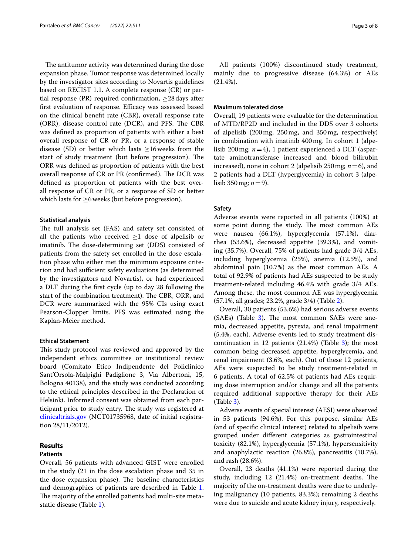The antitumor activity was determined during the dose expansion phase. Tumor response was determined locally by the investigator sites according to Novartis guidelines based on RECIST 1.1. A complete response (CR) or partial response (PR) required confirmation,  $\geq$ 28 days after first evaluation of response. Efficacy was assessed based on the clinical beneft rate (CBR), overall response rate (ORR), disease control rate (DCR), and PFS. The CBR was defned as proportion of patients with either a best overall response of CR or PR, or a response of stable disease (SD) or better which lasts  $\geq$ 16 weeks from the start of study treatment (but before progression). The ORR was defned as proportion of patients with the best overall response of CR or PR (confirmed). The DCR was defned as proportion of patients with the best overall response of CR or PR, or a response of SD or better which lasts for  $\geq$ 6 weeks (but before progression).

## **Statistical analysis**

The full analysis set (FAS) and safety set consisted of all the patients who received  $\geq$ 1 dose of alpelisib or imatinib. The dose-determining set (DDS) consisted of patients from the safety set enrolled in the dose escalation phase who either met the minimum exposure criterion and had sufficient safety evaluations (as determined by the investigators and Novartis), or had experienced a DLT during the frst cycle (up to day 28 following the start of the combination treatment). The CBR, ORR, and DCR were summarized with the 95% CIs using exact Pearson-Clopper limits. PFS was estimated using the Kaplan-Meier method.

## **Ethical Statement**

This study protocol was reviewed and approved by the independent ethics committee or institutional review board (Comitato Etico Indipendente del Policlinico Sant'Orsola-Malpighi Padiglione 3, Via Albertoni, 15, Bologna 40138), and the study was conducted according to the ethical principles described in the Declaration of Helsinki. Informed consent was obtained from each participant prior to study entry. The study was registered at [clinicaltrials.gov](http://clinicaltrials.gov) (NCT01735968, date of initial registration 28/11/2012).

## **Results**

## **Patients**

Overall, 56 patients with advanced GIST were enrolled in the study (21 in the dose escalation phase and 35 in the dose expansion phase). The baseline characteristics and demographics of patients are described in Table [1](#page-3-0). The majority of the enrolled patients had multi-site metastatic disease (Table [1](#page-3-0)).

All patients (100%) discontinued study treatment, mainly due to progressive disease (64.3%) or AEs (21.4%).

## **Maximum tolerated dose**

Overall, 19 patients were evaluable for the determination of MTD/RP2D and included in the DDS over 3 cohorts of alpelisib (200mg, 250mg, and 350mg, respectively) in combination with imatinib 400mg. In cohort 1 (alpelisib 200mg; *n*=4), 1 patient experienced a DLT (aspartate aminotransferase increased and blood bilirubin increased), none in cohort 2 (alpelisib 250mg; *n*=6), and 2 patients had a DLT (hyperglycemia) in cohort 3 (alpelisib 350 mg;  $n=9$ ).

## **Safety**

Adverse events were reported in all patients (100%) at some point during the study. The most common AEs were nausea (66.1%), hyperglycemia (57.1%), diarrhea (53.6%), decreased appetite (39.3%), and vomiting (35.7%). Overall, 75% of patients had grade 3/4 AEs, including hyperglycemia (25%), anemia (12.5%), and abdominal pain (10.7%) as the most common AEs. A total of 92.9% of patients had AEs suspected to be study treatment-related including 46.4% with grade 3/4 AEs. Among these, the most common AE was hyperglycemia (57.1%, all grades; 23.2%, grade 3/4) (Table [2\)](#page-4-0).

Overall, 30 patients (53.6%) had serious adverse events  $(SAEs)$  (Table [3\)](#page-4-1). The most common SAEs were anemia, decreased appetite, pyrexia, and renal impairment (5.4%, each). Adverse events led to study treatment discontinuation in 12 patients  $(21.4%)$  (Table [3\)](#page-4-1); the most common being decreased appetite, hyperglycemia, and renal impairment (3.6%, each). Out of these 12 patients, AEs were suspected to be study treatment-related in 6 patients. A total of 62.5% of patients had AEs requiring dose interruption and/or change and all the patients required additional supportive therapy for their AEs (Table [3\)](#page-4-1).

Adverse events of special interest (AESI) were observed in 53 patients (94.6%). For this purpose, similar AEs (and of specifc clinical interest) related to alpelisib were grouped under diferent categories as gastrointestinal toxicity (82.1%), hyperglycemia (57.1%), hypersensitivity and anaphylactic reaction (26.8%), pancreatitis (10.7%), and rash (28.6%).

Overall, 23 deaths (41.1%) were reported during the study, including 12 (21.4%) on-treatment deaths. The majority of the on-treatment deaths were due to underlying malignancy (10 patients, 83.3%); remaining 2 deaths were due to suicide and acute kidney injury, respectively.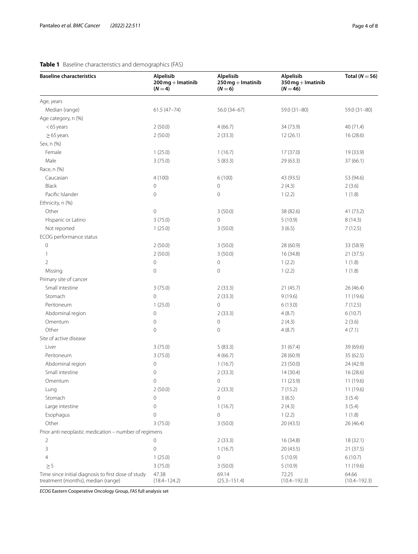## <span id="page-3-0"></span>**Table 1** Baseline characteristics and demographics (FAS)

| <b>Baseline characteristics</b>                       | Alpelisib<br>$200$ mg $+$ Imatinib<br>$(N = 4)$ | Alpelisib<br>$250$ mg $+$ Imatinib<br>$(N=6)$ | Alpelisib<br>$350$ mg + Imatinib<br>$(N = 46)$ | Total ( $N = 56$ ) |
|-------------------------------------------------------|-------------------------------------------------|-----------------------------------------------|------------------------------------------------|--------------------|
| Age, years                                            |                                                 |                                               |                                                |                    |
| Median (range)                                        | $61.5(47 - 74)$                                 | $56.0(34-67)$                                 | 59.0 (31-80)                                   | $59.0(31-80)$      |
| Age category, n (%)                                   |                                                 |                                               |                                                |                    |
| $<$ 65 years                                          | 2(50.0)                                         | 4(66.7)                                       | 34 (73.9)                                      | 40 (71.4)          |
| $\geq$ 65 years                                       | 2(50.0)                                         | 2(33.3)                                       | 12(26.1)                                       | 16(28.6)           |
| Sex, n (%)                                            |                                                 |                                               |                                                |                    |
| Female                                                | 1(25.0)                                         | 1(16.7)                                       | 17 (37.0)                                      | 19 (33.9)          |
| Male                                                  | 3(75.0)                                         | 5(83.3)                                       | 29 (63.3)                                      | 37(66.1)           |
| Race, n (%)                                           |                                                 |                                               |                                                |                    |
| Caucasian                                             | 4(100)                                          | 6(100)                                        | 43 (93.5)                                      | 53 (94.6)          |
| Black                                                 | $\mathsf{O}\xspace$                             | 0                                             | 2(4.3)                                         | 2(3.6)             |
| Pacific Islander                                      | $\mathbf 0$                                     | 0                                             | 1(2.2)                                         | 1(1.8)             |
| Ethnicity, n (%)                                      |                                                 |                                               |                                                |                    |
| Other                                                 | $\mathbf 0$                                     | 3(50.0)                                       | 38 (82.6)                                      | 41 (73.2)          |
| Hispanic or Latino                                    | 3(75.0)                                         | 0                                             | 5(10.9)                                        | 8(14.3)            |
| Not reported                                          | 1(25.0)                                         | 3(50.0)                                       | 3(6.5)                                         | 7(12.5)            |
| ECOG performance status                               |                                                 |                                               |                                                |                    |
| 0                                                     | 2(50.0)                                         | 3(50.0)                                       | 28 (60.9)                                      | 33 (58.9)          |
| 1                                                     | 2(50.0)                                         | 3(50.0)                                       | 16 (34.8)                                      | 21(37.5)           |
| $\overline{2}$                                        | $\mathbf 0$                                     | 0                                             | 1(2.2)                                         | 1(1.8)             |
| Missing                                               | 0                                               | $\mathbf 0$                                   | 1(2.2)                                         | 1(1.8)             |
| Primary site of cancer                                |                                                 |                                               |                                                |                    |
| Small intestine                                       | 3(75.0)                                         | 2(33.3)                                       | 21(45.7)                                       | 26 (46.4)          |
| Stomach                                               | $\mathbf 0$                                     | 2(33.3)                                       | 9(19.6)                                        | 11 (19.6)          |
| Peritoneum                                            | 1(25.0)                                         | $\mathcal O$                                  | 6(13.0)                                        | 7(12.5)            |
| Abdominal region                                      | $\mathbb O$                                     | 2(33.3)                                       | 4(8.7)                                         | 6(10.7)            |
| Omentum                                               | 0                                               | 0                                             | 2(4.3)                                         | 2(3.6)             |
| Other                                                 | $\mathbf 0$                                     | $\mathbf 0$                                   | 4(8.7)                                         | 4(7.1)             |
| Site of active disease                                |                                                 |                                               |                                                |                    |
| Liver                                                 | 3(75.0)                                         | 5(83.3)                                       | 31(67.4)                                       | 39 (69.6)          |
| Peritoneum                                            | 3(75.0)                                         | 4(66.7)                                       | 28 (60.9)                                      | 35 (62.5)          |
| Abdominal region                                      | $\mathbf 0$                                     | 1(16.7)                                       | 23 (50.0)                                      | 24 (42.9)          |
| Small intestine                                       | $\mathbf 0$                                     | 2(33.3)                                       | 14(30.4)                                       | 16 (28.6)          |
| Omentum                                               | $\overline{0}$                                  | $\mathbf 0$                                   | 11(23.9)                                       | 11 (19.6)          |
| Lung                                                  | 2(50.0)                                         | 2(33.3)                                       | 7(15.2)                                        | 11 (19.6)          |
| Stomach                                               | 0                                               | $\overline{0}$                                | 3(6.5)                                         | 3(5.4)             |
| Large intestine                                       | 0                                               | 1(16.7)                                       | 2(4.3)                                         | 3(5.4)             |
| Esophagus                                             | 0                                               | 0                                             | 1(2.2)                                         | 1(1.8)             |
| Other                                                 | 3(75.0)                                         | 3(50.0)                                       | 20 (43.5)                                      | 26 (46.4)          |
| Prior anti-neoplastic medication - number of regimens |                                                 |                                               |                                                |                    |
| 2                                                     | 0                                               | 2(33.3)                                       | 16 (34.8)                                      | 18(32.1)           |
| 3                                                     | $\mathbf 0$                                     | 1(16.7)                                       | 20 (43.5)                                      | 21 (37.5)          |
| 4                                                     | 1(25.0)                                         | 0                                             | 5(10.9)                                        | 6(10.7)            |
| $\geq$ 5                                              | 3(75.0)                                         | 3(50.0)                                       | 5(10.9)                                        | 11 (19.6)          |
| Time since initial diagnosis to first dose of study   | 47.38                                           | 69.14                                         | 72.25                                          | 64.66              |
| treatment (months), median (range)                    | $(18.4 - 124.2)$                                | $(25.3 - 151.4)$                              | $(10.4 - 192.3)$                               | $(10.4 - 192.3)$   |

*ECOG* Eastern Cooperative Oncology Group, *FAS* full analysis set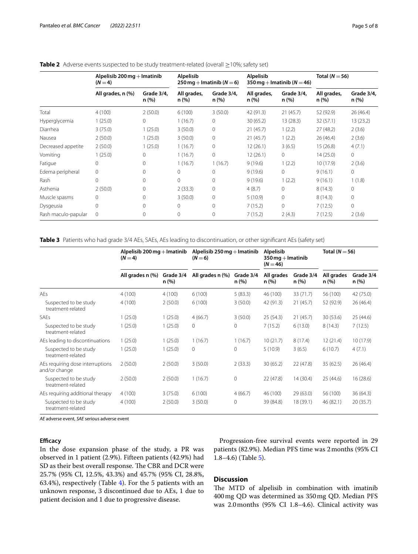|                     | Alpelisib 200 mg $+$ Imatinib<br>$(N=4)$ |                    | <b>Alpelisib</b><br>$250 \,\mathrm{mg} + \mathrm{lmatinib}$ (N = 6) |                    | <b>Alpelisib</b><br>350 mg + Imatinib ( $N = 46$ ) |                    | Total $(N = 56)$     |                     |
|---------------------|------------------------------------------|--------------------|---------------------------------------------------------------------|--------------------|----------------------------------------------------|--------------------|----------------------|---------------------|
|                     | All grades, n (%)                        | Grade 3/4,<br>n(%) | All grades,<br>n (%)                                                | Grade 3/4.<br>n(%) | All grades,<br>n (%)                               | Grade 3/4,<br>n(%) | All grades,<br>n (%) | Grade 3/4.<br>n (%) |
| Total               | 4(100)                                   | 2(50.0)            | 6(100)                                                              | 3(50.0)            | 42 (91.3)                                          | 21(45.7)           | 52 (92.9)            | 26(46.4)            |
| Hyperglycemia       | 1(25.0)                                  | 0                  | 1(16.7)                                                             | $\mathbf 0$        | 30(65.2)                                           | 13(28.3)           | 32(57.1)             | 13(23.2)            |
| Diarrhea            | 3(75.0)                                  | 1(25.0)            | 3(50.0)                                                             | $\mathbf 0$        | 21(45.7)                                           | 1(2.2)             | 27(48.2)             | 2(3.6)              |
| Nausea              | 2(50.0)                                  | 1(25.0)            | 3(50.0)                                                             | $\mathbf 0$        | 21(45.7)                                           | 1(2.2)             | 26(46.4)             | 2(3.6)              |
| Decreased appetite  | 2(50.0)                                  | 1(25.0)            | 1(16.7)                                                             | 0                  | 12(26.1)                                           | 3(6.5)             | 15(26.8)             | 4(7.1)              |
| Vomiting            | 1(25.0)                                  | $\Omega$           | 1(16.7)                                                             | $\overline{0}$     | 12(26.1)                                           | $\mathbf{0}$       | 14 (25.0)            | 0                   |
| Fatigue             | $\mathbf{0}$                             | $\Omega$           | 1(16.7)                                                             | 1(16.7)            | 9(19.6)                                            | 1(2.2)             | 10(17.9)             | 2(3.6)              |
| Edema peripheral    | $\mathbf 0$                              | $\Omega$           | $\Omega$                                                            | $\Omega$           | 9(19.6)                                            | $\Omega$           | 9(16.1)              | $\Omega$            |
| Rash                | $\mathbf{0}$                             | $\Omega$           | $\Omega$                                                            | $\mathbf 0$        | 9(19.6)                                            | 1(2.2)             | 9(16.1)              | 1(1.8)              |
| Asthenia            | 2(50.0)                                  | $\Omega$           | 2(33.3)                                                             | $\mathbf 0$        | 4(8.7)                                             | $\mathbf 0$        | 8(14.3)              | 0                   |
| Muscle spasms       | $\circ$                                  | 0                  | 3(50.0)                                                             | $\mathbf 0$        | 5(10.9)                                            | $\mathbf{0}$       | 8(14.3)              | 0                   |
| Dysgeusia           | $\Omega$                                 | $\Omega$           | $\Omega$                                                            | $\mathbf 0$        | 7(15.2)                                            | $\Omega$           | 7(12.5)              | $\Omega$            |
| Rash maculo-papular | $\mathbf{0}$                             | $\Omega$           | $\Omega$                                                            | $\overline{0}$     | 7(15.2)                                            | 2(4.3)             | 7(12.5)              | 2(3.6)              |

## <span id="page-4-0"></span>Table 2 Adverse events suspected to be study treatment-related (overall ≥10%; safety set)

<span id="page-4-1"></span>**Table 3** Patients who had grade 3/4 AEs, SAEs, AEs leading to discontinuation, or other signifcant AEs (safety set)

|                                                   | Alpelisib 200 $mg$ + Imatinib<br>$(N=4)$ |                    | Alpelisib $250$ mg $+$ Imatinib<br>$(N=6)$ |                   | Alpelisib<br>$350$ mg $+$ Imatinib<br>$(N = 46)$ |                    | Total ( $N = 56$ ) |                    |
|---------------------------------------------------|------------------------------------------|--------------------|--------------------------------------------|-------------------|--------------------------------------------------|--------------------|--------------------|--------------------|
|                                                   | All grades n (%)                         | Grade 3/4<br>n (%) | All grades n (%)                           | Grade 3/4<br>n(%) | All grades<br>n (%)                              | Grade 3/4<br>n (%) | All grades<br>n(%) | Grade 3/4<br>n (%) |
| AEs                                               | 4(100)                                   | 4(100)             | 6(100)                                     | 5(83.3)           | 46 (100)                                         | 33 (71.7)          | 56 (100)           | 42 (75.0)          |
| Suspected to be study<br>treatment-related        | 4(100)                                   | 2(50.0)            | 6(100)                                     | 3(50.0)           | 42 (91.3)                                        | 21(45.7)           | 52 (92.9)          | 26(46.4)           |
| <b>SAEs</b>                                       | 1(25.0)                                  | 1(25.0)            | 4(66.7)                                    | 3(50.0)           | 25(54.3)                                         | 21(45.7)           | 30 (53.6)          | 25(44.6)           |
| Suspected to be study<br>treatment-related        | 1(25.0)                                  | 1(25.0)            | $\circ$                                    | 0                 | 7(15.2)                                          | 6(13.0)            | 8(14.3)            | 7(12.5)            |
| AEs leading to discontinuations                   | 1(25.0)                                  | 1(25.0)            | 1(16.7)                                    | 1(16.7)           | 10(21.7)                                         | 8(17.4)            | 12(21.4)           | 10 (17.9)          |
| Suspected to be study<br>treatment-related        | 1(25.0)                                  | 1(25.0)            | $\Omega$                                   | $\Omega$          | 5(10.9)                                          | 3(6.5)             | 6(10.7)            | 4(7.1)             |
| AEs requiring dose interruptions<br>and/or change | 2(50.0)                                  | 2(50.0)            | 3(50.0)                                    | 2(33.3)           | 30(65.2)                                         | 22(47.8)           | 35(62.5)           | 26(46.4)           |
| Suspected to be study<br>treatment-related        | 2(50.0)                                  | 2(50.0)            | 1(16.7)                                    | $\mathbf{0}$      | 22(47.8)                                         | 14 (30.4)          | 25(44.6)           | 16(28.6)           |
| AEs requiring additional therapy                  | 4(100)                                   | 3(75.0)            | 6(100)                                     | 4(66.7)           | 46 (100)                                         | 29(63.0)           | 56 (100)           | 36(64.3)           |
| Suspected to be study<br>treatment-related        | 4(100)                                   | 2(50.0)            | 3(50.0)                                    | $\Omega$          | 39 (84.8)                                        | 18 (39.1)          | 46 (82.1)          | 20(35.7)           |

*AE* adverse event, *SAE* serious adverse event

## **Efficacy**

In the dose expansion phase of the study, a PR was observed in 1 patient (2.9%). Fifteen patients (42.9%) had SD as their best overall response. The CBR and DCR were 25.7% (95% CI, 12.5%, 43.3%) and 45.7% (95% CI, 28.8%, 63.4%), respectively (Table [4](#page-5-0)). For the 5 patients with an unknown response, 3 discontinued due to AEs, 1 due to patient decision and 1 due to progressive disease.

Progression-free survival events were reported in 29 patients (82.9%). Median PFS time was 2months (95% CI 1.8–4.6) (Table [5](#page-5-1)).

## **Discussion**

The MTD of alpelisib in combination with imatinib 400mg QD was determined as 350mg QD. Median PFS was 2.0months (95% CI 1.8–4.6). Clinical activity was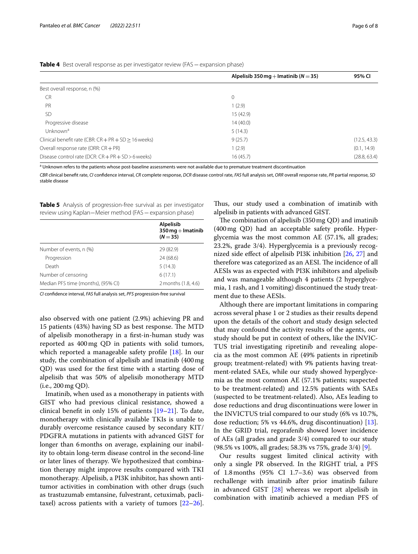<span id="page-5-0"></span>

| Table 4 Best overall response as per investigator review (FAS - expansion phase) |  |
|----------------------------------------------------------------------------------|--|
|----------------------------------------------------------------------------------|--|

|                                                          | Alpelisib 350 mg + Imatinib ( $N = 35$ ) | 95% CI       |
|----------------------------------------------------------|------------------------------------------|--------------|
| Best overall response, n (%)                             |                                          |              |
| <b>CR</b>                                                | $\mathbf{0}$                             |              |
| PR                                                       | 1(2.9)                                   |              |
| SD                                                       | 15 (42.9)                                |              |
| Progressive disease                                      | 14(40.0)                                 |              |
| Unknown <sup>a</sup>                                     | 5(14.3)                                  |              |
| Clinical benefit rate (CBR: $CR + PR + SD \ge 16$ weeks) | 9(25.7)                                  | (12.5, 43.3) |
| Overall response rate (ORR: CR + PR)                     | 1(2.9)                                   | (0.1, 14.9)  |
| Disease control rate (DCR: $CR + PR + SD > 6$ weeks)     | 16(45.7)                                 | (28.8, 63.4) |

a Unknown refers to the patients whose post-baseline assessments were not available due to premature treatment discontinuation

CBR clinical benefit rate, CI confidence interval, CR complete response, DCR disease control rate, FAS full analysis set, ORR overall response rate, PR partial response, SD stable disease

<span id="page-5-1"></span>**Table 5** Analysis of progression-free survival as per investigator review using Kaplan−Meier method (FAS−expansion phase)

|                                    | <b>Alpelisib</b><br>$350$ mg $+$ Imatinib<br>$(N = 35)$ |
|------------------------------------|---------------------------------------------------------|
| Number of events, n (%)            | 29 (82.9)                                               |
| Progression                        | 24 (68.6)                                               |
| Death                              | 5(14.3)                                                 |
| Number of censoring                | 6(17.1)                                                 |
| Median PFS time (months), (95% CI) | 2 months (1.8, 4.6)                                     |

*CI* confdence interval, *FAS* full analysis set, *PFS* progression-free survival

also observed with one patient (2.9%) achieving PR and 15 patients (43%) having SD as best response. The MTD of alpelisib monotherapy in a frst-in-human study was reported as 400mg QD in patients with solid tumors, which reported a manageable safety profile [\[18\]](#page-7-17). In our study, the combination of alpelisib and imatinib (400mg QD) was used for the frst time with a starting dose of alpelisib that was 50% of alpelisib monotherapy MTD (i.e., 200mg QD).

Imatinib, when used as a monotherapy in patients with GIST who had previous clinical resistance, showed a clinical beneft in only 15% of patients [[19–](#page-7-18)[21](#page-7-19)]. To date, monotherapy with clinically available TKIs is unable to durably overcome resistance caused by secondary KIT/ PDGFRA mutations in patients with advanced GIST for longer than 6months on average, explaining our inability to obtain long-term disease control in the second-line or later lines of therapy. We hypothesized that combination therapy might improve results compared with TKI monotherapy. Alpelisib, a PI3K inhibitor, has shown antitumor activities in combination with other drugs (such as trastuzumab emtansine, fulvestrant, cetuximab, paclitaxel) across patients with a variety of tumors  $[22-26]$  $[22-26]$  $[22-26]$ . Thus, our study used a combination of imatinib with alpelisib in patients with advanced GIST.

The combination of alpelisib  $(350 \text{ mg QD})$  and imatinib (400mg QD) had an acceptable safety profle. Hyperglycemia was the most common AE (57.1%, all grades; 23.2%, grade 3/4). Hyperglycemia is a previously recognized side efect of alpelisib PI3K inhibition [\[26](#page-7-21), [27](#page-7-22)] and therefore was categorized as an AESI. The incidence of all AESIs was as expected with PI3K inhibitors and alpelisib and was manageable although 4 patients (2 hyperglycemia, 1 rash, and 1 vomiting) discontinued the study treatment due to these AESIs.

Although there are important limitations in comparing across several phase 1 or 2 studies as their results depend upon the details of the cohort and study design selected that may confound the activity results of the agents, our study should be put in context of others, like the INVIC-TUS trial investigating ripretinib and revealing alopecia as the most common AE (49% patients in ripretinib group; treatment-related) with 9% patients having treatment-related SAEs, while our study showed hyperglycemia as the most common AE (57.1% patients; suspected to be treatment-related) and 12.5% patients with SAEs (suspected to be treatment-related). Also, AEs leading to dose reductions and drug discontinuations were lower in the INVICTUS trial compared to our study (6% vs 10.7%, dose reduction; 5% vs 44.6%, drug discontinuation) [\[13](#page-7-12)]. In the GRID trial, regorafenib showed lower incidence of AEs (all grades and grade 3/4) compared to our study (98.5% vs 100%, all grades; 58.3% vs 75%, grade 3/4) [\[9](#page-7-8)].

Our results suggest limited clinical activity with only a single PR observed. In the RIGHT trial, a PFS of 1.8months (95% CI 1.7–3.6) was observed from rechallenge with imatinib after prior imatinib failure in advanced GIST [\[28](#page-7-23)] whereas we report alpelisib in combination with imatinib achieved a median PFS of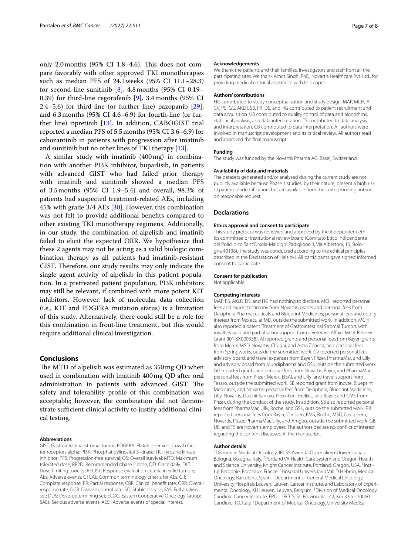only 2.0 months  $(95\% \text{ CI } 1.8-4.6)$ . This does not compare favorably with other approved TKI monotherapies such as median PFS of 24.1weeks (95% CI 11.1–28.3) for second-line sunitinib  $[8]$  $[8]$ , 4.8 months (95% CI 0.19– 0.39) for third-line regorafenib [[9\]](#page-7-8), 3.4months (95% CI 2.4–5.6) for third-line (or further line) pazopanib [\[29](#page-7-24)], and 6.3months (95% CI 4.6–6.9) for fourth-line (or further line) ripretinib [[13](#page-7-12)]. In addition, CABOGIST trial reported a median PFS of 5.5months (95% CI 3.6–6.9) for cabozantinib in patients with progression after imatinib and sunitinib but no other lines of TKI therapy [\[13\]](#page-7-12).

A similar study with imatinib (400mg) in combination with another PI3K inhibitor, buparlisib, in patients with advanced GIST who had failed prior therapy with imatinib and sunitinib showed a median PFS of 3.5months (95% CI 1.9–5.4) and overall, 98.3% of patients had suspected treatment-related AEs, including 45% with grade 3/4 AEs [\[30](#page-7-25)]. However, this combination was not felt to provide additional benefts compared to other existing TKI monotherapy regimens. Additionally, in our study, the combination of alpelisib and imatinib failed to elicit the expected ORR. We hypothesize that these 2 agents may not be acting as a valid biologic combination therapy as all patients had imatinib-resistant GIST. Therefore, our study results may only indicate the single agent activity of alpelisib in this patient population. In a pretreated patient population, PI3K inhibitors may still be relevant, if combined with more potent KIT inhibitors. However, lack of molecular data collection (i.e., KIT and PDGFRA mutation status) is a limitation of this study. Alternatively, there could still be a role for this combination in front-line treatment, but this would require additional clinical investigation.

## **Conclusions**

The MTD of alpelisib was estimated as 350 mg QD when used in combination with imatinib 400mg QD after oral administration in patients with advanced GIST. The safety and tolerability profle of this combination was acceptable; however, the combination did not demonstrate sufficient clinical activity to justify additional clinical testing.

## **Abbreviations**

GIST: Gastrointestinal stromal tumor; PDGFRA: Platelet-derived growth factor receptors alpha; PI3K: Phosphatidylinositol 3-kinase; TKI: Tyrosine kinase inhibitor; PFS: Progression-free survival; OS: Overall survival; MTD: Maximum tolerated dose; RP2D: Recommended phase 2 dose; QD: Once daily; DLT: Dose-limiting toxicity; RECIST: Response evaluation criteria in solid tumors; AEs: Adverse events; CTCAE: Common terminology criteria for AEs; CR: Complete response; PR: Partial response; CBR: Clinical beneft rate; ORR: Overall response rate; DCR: Disease control rate; SD: Stable disease; FAS: Full analysis set; DDS: Dose-determining set; ECOG: Eastern Cooperative Oncology Group; SAEs: Serious adverse events; AESI: Adverse events of special interest.

#### **Acknowledgements**

We thank the patients and their families, investigators and staff from all the participating sites. We thank Amrit Singh, PhD, Novartis Healthcare Pvt. Ltd., for providing medical editorial assistance with this paper.

#### **Authors' contributions**

HG contributed to study conceptualization and study design. MAP, MCH, AI, CV, PS, GG, AKLR, SB, PR, DS, and HG contributed to patient recruitment and data acquisition. UB contributed to quality control of data and algorithms, statistical analysis, and data interpretation. TS contributed to data analysis and interpretation. GB contributed to data interpretation. All authors were involved in manuscript development and its critical review. All authors read and approved the fnal manuscript.

#### **Funding**

The study was funded by the Novartis Pharma AG, Basel, Switzerland.

#### **Availability of data and materials**

The datasets generated and/or analysed during the current study are not publicly available because Phase 1 studies, by their nature, present a high risk of patient re-identifcation, but are available from the corresponding author on reasonable request.

### **Declarations**

#### **Ethics approval and consent to participate**

This study protocol was reviewed and approved by the independent ethics committee or institutional review board (Comitato Etico Indipendente del Policlinico Sant'Orsola-Malpighi Padiglione 3, Via Albertoni, 15, Bologna 40138). The study was conducted according to the ethical principles described in the Declaration of Helsinki. All participants gave signed informed consent to participate.

#### **Consent for publication**

Not applicable.

#### **Competing interests**

MAP, PS, AKLR, DS, and HG had nothing to disclose. MCH reported personal fees and expert testimony from Novartis; grants and personal fees from Deciphera Pharmaceuticals and Blueprint Medicines; personal fees and equity interest from Molecular MD, outside the submitted work. In addition, MCH also reported a patent 'Treatment of Gastrointestinal Stromal Tumors' with royalties paid and partial salary support from a Veterans Afairs Merit Review Grant (I01 BX000338). AI reported grants and personal fees from Bayer; grants from Merck, MSD, Novartis, Chugai, and Astra Zeneca; and personal fees from Springworks, outside the submitted work. CV reported personal fees, advisory board, and travel expenses from Bayer, Pfizer, PharmaMar, and Lilly; and advisory board from Mundipharma and GSK, outside the submitted work. GG reported grants and personal fees from Novartis, Bayer, and PharmaMar; personal fees from Pfzer, Merck, EISAI, and Lilly; and travel support from Tesaro, outside the submitted work. SB reported grant from Incyte, Blueprint Medicines, and Novartis; personal fees from Deciphera, Blueprint Medicines, Lilly, Novartis, Daichii-Sankyo, Plexxikon, Exelixis, and Bayer; and CME from Pfzer, during the conduct of the study. In addition, SB also reported personal fees from PharmaMar, Lilly, Roche, and GSK, outside the submitted work. PR reported personal fees from Bayer, Clinigen, BMS, Roche, MSD, Deciphera, Novartis, Pfzer, PharmaMar, Lilly, and Amgen, outside the submitted work. GB, UB, and TS are Novartis employees. The authors declare no confict of interest regarding the content discussed in the manuscript.

#### **Author details**

1 Division in Medical Oncology, IRCSS Azienda Ospedaliero-Universitaria di Bologna, Bologna, Italy. <sup>2</sup> Portland VA Health Care System and Oregon Health and Science University, Knight Cancer Institute, Portland, Oregon, USA. <sup>3</sup>Institut Bergonie, Bordeaux, France. <sup>4</sup> Hospital Universitario Vall D Hebron, Medical Oncology, Barcelona, Spain.<sup>5</sup> Department of General Medical Oncology, University Hospitals Leuven, Leuven Cancer Institute, and Laboratory of Experimental Oncology, KU Leuven, Leuven, Belgium. <sup>6</sup> Division of Medical Oncology, Candiolo Cancer Institute, FPO – IRCCS, St. Provinciale 142, Km 3.95 - 10060, Candiolo, TO, Italy. <sup>7</sup> Department of Medical Oncology, University Medical